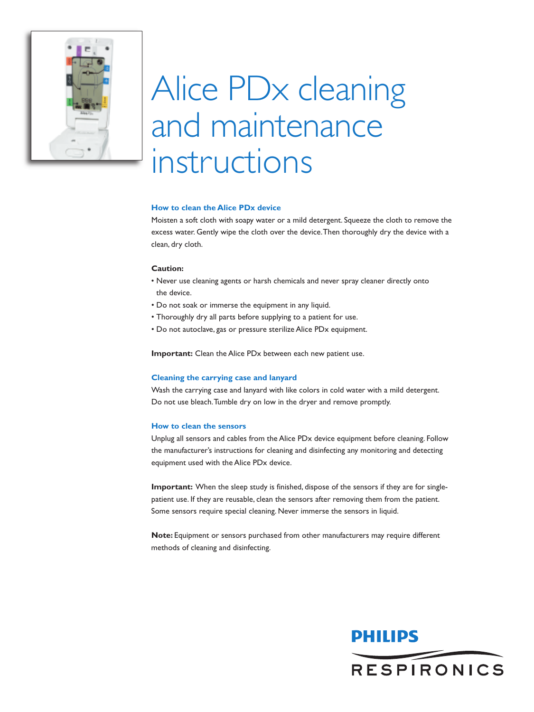

# Alice PDx cleaning and maintenance instructions

# **How to clean the Alice PDx device**

Moisten a soft cloth with soapy water or a mild detergent. Squeeze the cloth to remove the excess water. Gently wipe the cloth over the device.Then thoroughly dry the device with a clean, dry cloth.

## **Caution:**

- Never use cleaning agents or harsh chemicals and never spray cleaner directly onto the device.
- Do not soak or immerse the equipment in any liquid.
- Thoroughly dry all parts before supplying to a patient for use.
- Do not autoclave, gas or pressure sterilize Alice PDx equipment.

**Important:** Clean the Alice PDx between each new patient use.

#### **Cleaning the carrying case and lanyard**

Wash the carrying case and lanyard with like colors in cold water with a mild detergent. Do not use bleach.Tumble dry on low in the dryer and remove promptly.

#### **How to clean the sensors**

Unplug all sensors and cables from the Alice PDx device equipment before cleaning. Follow the manufacturer's instructions for cleaning and disinfecting any monitoring and detecting equipment used with the Alice PDx device.

**Important:** When the sleep study is finished, dispose of the sensors if they are for singlepatient use. If they are reusable, clean the sensors after removing them from the patient. Some sensors require special cleaning. Never immerse the sensors in liquid.

**Note:** Equipment or sensors purchased from other manufacturers may require different methods of cleaning and disinfecting.

# PHILIPS **RESPIRONICS**